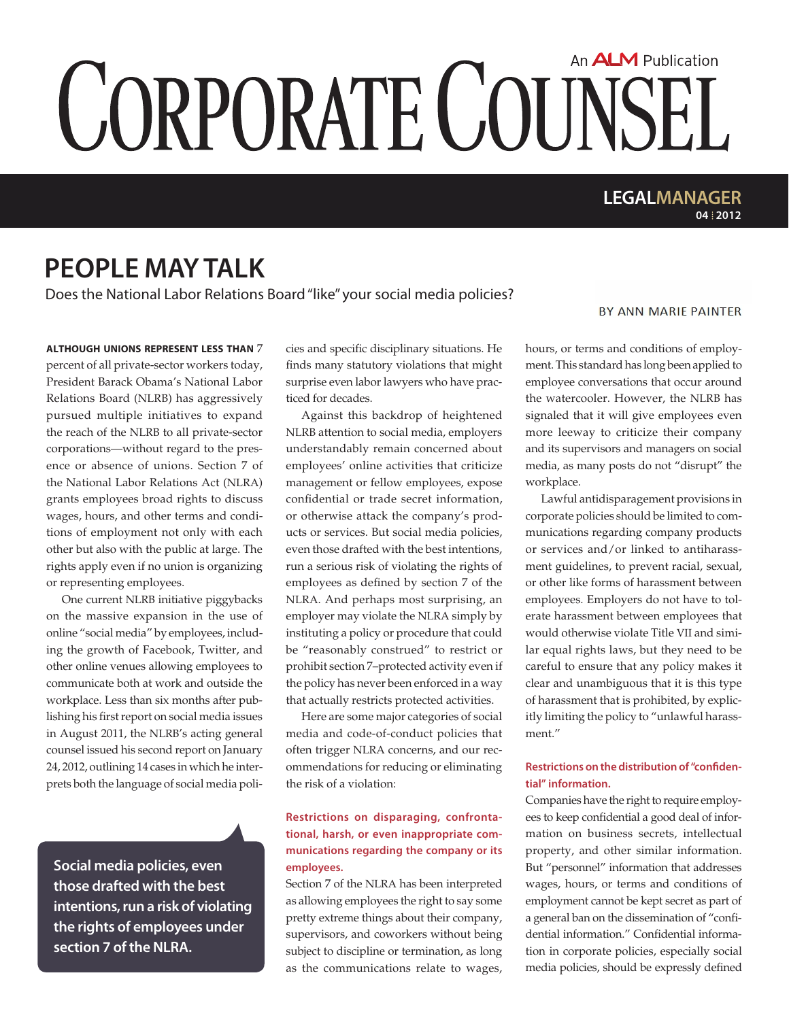# An **ALM** Publication **CORPORATE COUNSEL**

### **04 2012 LEGALMANAGER**

## **people may talk**

Does the National Labor Relations Board "like" your social media policies?

**Although unions represent less than** 7 percent of all private-sector workers today, President Barack Obama's National Labor Relations Board (NLRB) has aggressively pursued multiple initiatives to expand the reach of the NLRB to all private-sector corporations—without regard to the presence or absence of unions. Section 7 of the National Labor Relations Act (NLRA) grants employees broad rights to discuss wages, hours, and other terms and conditions of employment not only with each other but also with the public at large. The rights apply even if no union is organizing or representing employees.

One current NLRB initiative piggybacks on the massive expansion in the use of online "social media" by employees, including the growth of Facebook, Twitter, and other online venues allowing employees to communicate both at work and outside the workplace. Less than six months after publishing his first report on social media issues in August 2011, the NLRB's acting general counsel issued his second report on January 24, 2012, outlining 14 cases in which he interprets both the language of social media poli-

**Social media policies, even those drafted with the best intentions, run a risk of violating the rights of employees under section 7 of the NLRA.**

cies and specific disciplinary situations. He finds many statutory violations that might surprise even labor lawyers who have practiced for decades.

Against this backdrop of heightened NLRB attention to social media, employers understandably remain concerned about employees' online activities that criticize management or fellow employees, expose confidential or trade secret information, or otherwise attack the company's products or services. But social media policies, even those drafted with the best intentions, run a serious risk of violating the rights of employees as defined by section 7 of the NLRA. And perhaps most surprising, an employer may violate the NLRA simply by instituting a policy or procedure that could be "reasonably construed" to restrict or prohibit section 7–protected activity even if the policy has never been enforced in a way that actually restricts protected activities.

Here are some major categories of social media and code-of-conduct policies that often trigger NLRA concerns, and our recommendations for reducing or eliminating the risk of a violation:

#### **Restrictions on disparaging, confrontational, harsh, or even inappropriate communications regarding the company or its employees.**

Section 7 of the NLRA has been interpreted as allowing employees the right to say some pretty extreme things about their company, supervisors, and coworkers without being subject to discipline or termination, as long as the communications relate to wages,

#### BY ANN MARIE PAINTER

hours, or terms and conditions of employment. This standard has long been applied to employee conversations that occur around the watercooler. However, the NLRB has signaled that it will give employees even more leeway to criticize their company and its supervisors and managers on social media, as many posts do not "disrupt" the workplace.

Lawful antidisparagement provisions in corporate policies should be limited to communications regarding company products or services and/or linked to antiharassment guidelines, to prevent racial, sexual, or other like forms of harassment between employees. Employers do not have to tolerate harassment between employees that would otherwise violate Title VII and similar equal rights laws, but they need to be careful to ensure that any policy makes it clear and unambiguous that it is this type of harassment that is prohibited, by explicitly limiting the policy to "unlawful harassment"

#### **Restrictions on the distribution of "confidential" information.**

Companies have the right to require employees to keep confidential a good deal of information on business secrets, intellectual property, and other similar information. But "personnel" information that addresses wages, hours, or terms and conditions of employment cannot be kept secret as part of a general ban on the dissemination of "confidential information." Confidential information in corporate policies, especially social media policies, should be expressly defined